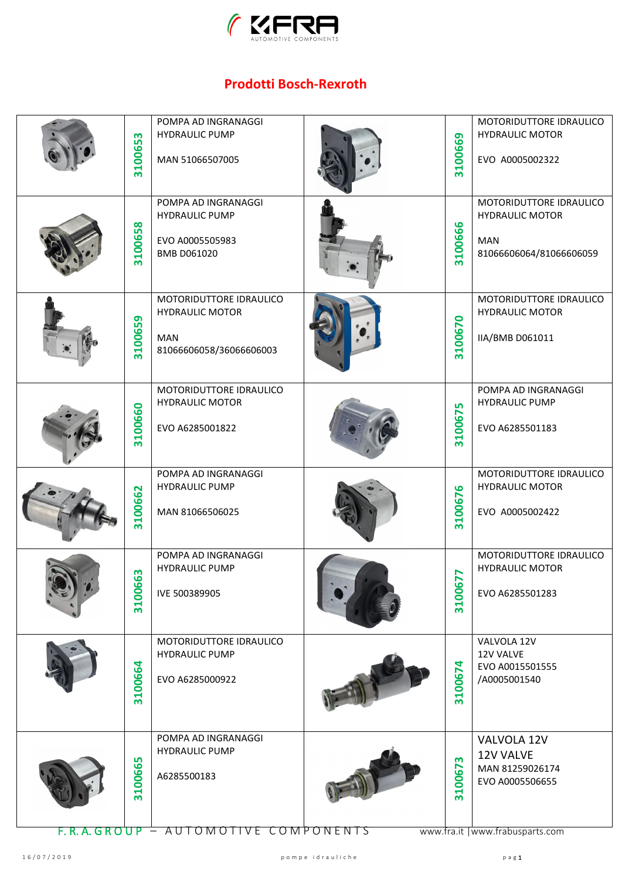

## **Prodotti Bosch-Rexroth**

| m<br>310065     | POMPA AD INGRANAGGI<br><b>HYDRAULIC PUMP</b><br>MAN 51066507005                                               | 3100669     | MOTORIDUTTORE IDRAULICO<br><b>HYDRAULIC MOTOR</b><br>EVO A0005002322                               |
|-----------------|---------------------------------------------------------------------------------------------------------------|-------------|----------------------------------------------------------------------------------------------------|
| 100658<br>m     | POMPA AD INGRANAGGI<br><b>HYDRAULIC PUMP</b><br>EVO A0005505983<br>BMB D061020                                | 100666<br>m | MOTORIDUTTORE IDRAULICO<br><b>HYDRAULIC MOTOR</b><br><b>MAN</b><br>81066606064/81066606059         |
| 3100659         | MOTORIDUTTORE IDRAULICO<br><b>HYDRAULIC MOTOR</b><br><b>MAN</b><br>81066606058/36066606003                    | 3100670     | MOTORIDUTTORE IDRAULICO<br><b>HYDRAULIC MOTOR</b><br>IIA/BMB D061011                               |
| 3100660         | MOTORIDUTTORE IDRAULICO<br><b>HYDRAULIC MOTOR</b><br>EVO A6285001822                                          | 3100675     | POMPA AD INGRANAGGI<br><b>HYDRAULIC PUMP</b><br>EVO A6285501183                                    |
| 3100662         | POMPA AD INGRANAGGI<br><b>HYDRAULIC PUMP</b><br>MAN 81066506025                                               | 3100676     | MOTORIDUTTORE IDRAULICO<br><b>HYDRAULIC MOTOR</b><br>EVO A0005002422                               |
| 63<br>1006<br>m | POMPA AD INGRANAGGI<br><b>HYDRAULIC PUMP</b><br>IVE 500389905                                                 | 77<br>31006 | MOTORIDUTTORE IDRAULICO<br><b>HYDRAULIC MOTOR</b><br>EVO A6285501283                               |
| 3100664         | MOTORIDUTTORE IDRAULICO<br><b>HYDRAULIC PUMP</b><br>EVO A6285000922                                           | 3100674     | VALVOLA 12V<br>12V VALVE<br>EVO A0015501555<br>/A0005001540                                        |
| 5<br>10066<br>m | POMPA AD INGRANAGGI<br><b>HYDRAULIC PUMP</b><br>A6285500183<br><u> F. R. A. GROUP – AUTOMOTIVE COMPONENTS</u> | m<br>310067 | VALVOLA 12V<br>12V VALVE<br>MAN 81259026174<br>EVO A0005506655<br>www.fra.it   www.frabusparts.com |